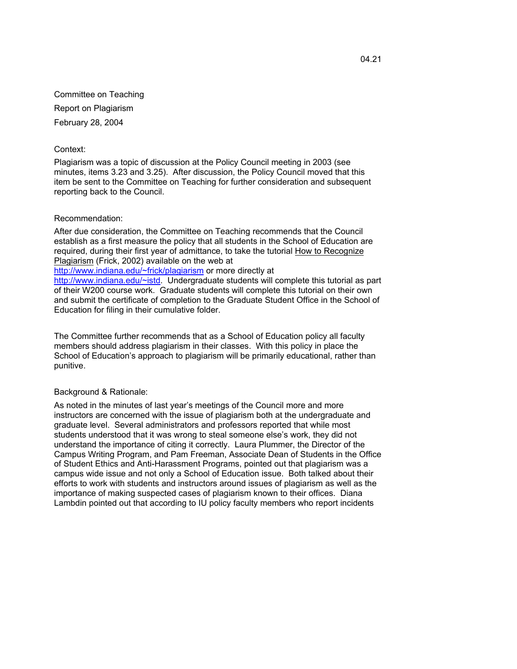Committee on Teaching Report on Plagiarism February 28, 2004

## Context:

Plagiarism was a topic of discussion at the Policy Council meeting in 2003 (see minutes, items 3.23 and 3.25). After discussion, the Policy Council moved that this item be sent to the Committee on Teaching for further consideration and subsequent reporting back to the Council.

## Recommendation:

After due consideration, the Committee on Teaching recommends that the Council establish as a first measure the policy that all students in the School of Education are required, during their first year of admittance, to take the tutorial How to Recognize Plagiarism (Frick, 2002) available on the web at

http://www.indiana.edu/~frick/plagiarism or more directly at

http://www.indiana.edu/~istd. Undergraduate students will complete this tutorial as part of their W200 course work. Graduate students will complete this tutorial on their own and submit the certificate of completion to the Graduate Student Office in the School of Education for filing in their cumulative folder.

The Committee further recommends that as a School of Education policy all faculty members should address plagiarism in their classes. With this policy in place the School of Education's approach to plagiarism will be primarily educational, rather than punitive.

## Background & Rationale:

As noted in the minutes of last year's meetings of the Council more and more instructors are concerned with the issue of plagiarism both at the undergraduate and graduate level. Several administrators and professors reported that while most students understood that it was wrong to steal someone else's work, they did not understand the importance of citing it correctly. Laura Plummer, the Director of the Campus Writing Program, and Pam Freeman, Associate Dean of Students in the Office of Student Ethics and Anti-Harassment Programs, pointed out that plagiarism was a campus wide issue and not only a School of Education issue. Both talked about their efforts to work with students and instructors around issues of plagiarism as well as the importance of making suspected cases of plagiarism known to their offices. Diana Lambdin pointed out that according to IU policy faculty members who report incidents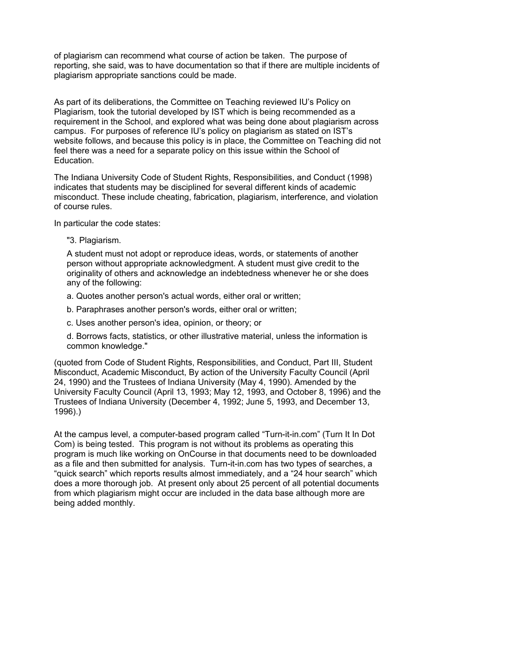of plagiarism can recommend what course of action be taken. The purpose of reporting, she said, was to have documentation so that if there are multiple incidents of plagiarism appropriate sanctions could be made.

As part of its deliberations, the Committee on Teaching reviewed IU's Policy on Plagiarism, took the tutorial developed by IST which is being recommended as a requirement in the School, and explored what was being done about plagiarism across campus. For purposes of reference IU's policy on plagiarism as stated on IST's website follows, and because this policy is in place, the Committee on Teaching did not feel there was a need for a separate policy on this issue within the School of Education.

The Indiana University Code of Student Rights, Responsibilities, and Conduct (1998) indicates that students may be disciplined for several different kinds of academic misconduct. These include cheating, fabrication, plagiarism, interference, and violation of course rules.

In particular the code states:

"3. Plagiarism.

A student must not adopt or reproduce ideas, words, or statements of another person without appropriate acknowledgment. A student must give credit to the originality of others and acknowledge an indebtedness whenever he or she does any of the following:

a. Quotes another person's actual words, either oral or written;

b. Paraphrases another person's words, either oral or written;

c. Uses another person's idea, opinion, or theory; or

d. Borrows facts, statistics, or other illustrative material, unless the information is common knowledge."

(quoted from Code of Student Rights, Responsibilities, and Conduct, Part III, Student Misconduct, Academic Misconduct, By action of the University Faculty Council (April 24, 1990) and the Trustees of Indiana University (May 4, 1990). Amended by the University Faculty Council (April 13, 1993; May 12, 1993, and October 8, 1996) and the Trustees of Indiana University (December 4, 1992; June 5, 1993, and December 13, 1996).)

At the campus level, a computer-based program called "Turn-it-in.com" (Turn It In Dot Com) is being tested. This program is not without its problems as operating this program is much like working on OnCourse in that documents need to be downloaded as a file and then submitted for analysis. Turn-it-in.com has two types of searches, a "quick search" which reports results almost immediately, and a "24 hour search" which does a more thorough job. At present only about 25 percent of all potential documents from which plagiarism might occur are included in the data base although more are being added monthly.